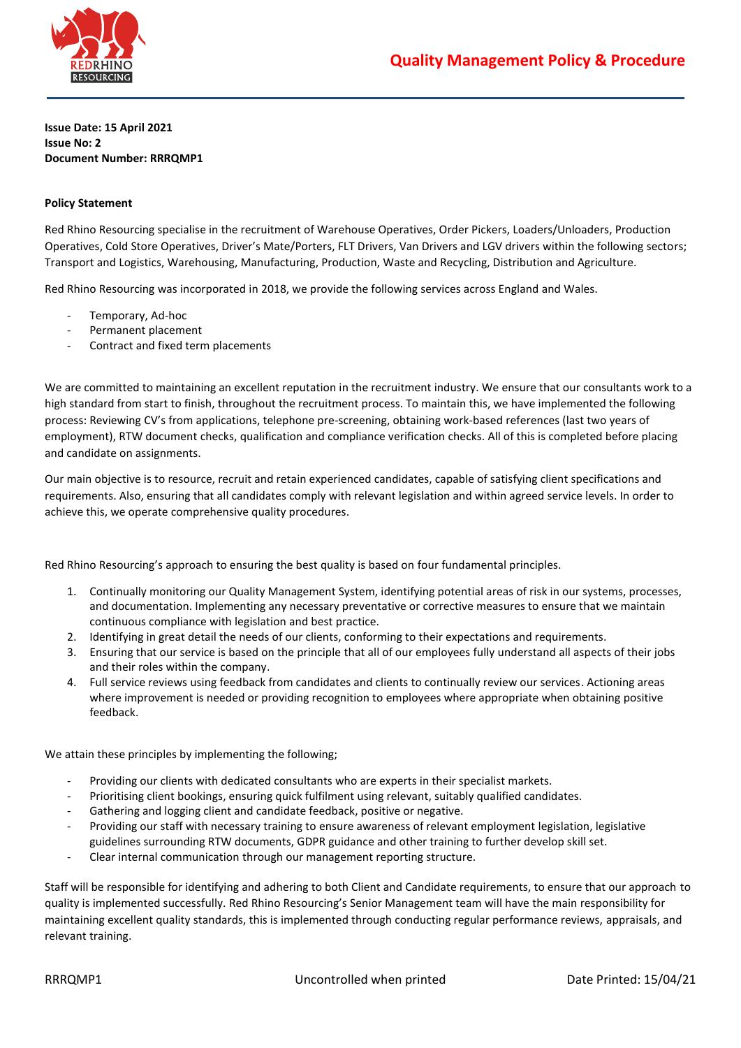

**Issue Date: 15 April 2021 Issue No: 2 Document Number: RRRQMP1**

# **Policy Statement**

Red Rhino Resourcing specialise in the recruitment of Warehouse Operatives, Order Pickers, Loaders/Unloaders, Production Operatives, Cold Store Operatives, Driver's Mate/Porters, FLT Drivers, Van Drivers and LGV drivers within the following sectors; Transport and Logistics, Warehousing, Manufacturing, Production, Waste and Recycling, Distribution and Agriculture.

Red Rhino Resourcing was incorporated in 2018, we provide the following services across England and Wales.

- Temporary, Ad-hoc
- Permanent placement
- Contract and fixed term placements

We are committed to maintaining an excellent reputation in the recruitment industry. We ensure that our consultants work to a high standard from start to finish, throughout the recruitment process. To maintain this, we have implemented the following process: Reviewing CV's from applications, telephone pre-screening, obtaining work-based references (last two years of employment), RTW document checks, qualification and compliance verification checks. All of this is completed before placing and candidate on assignments.

Our main objective is to resource, recruit and retain experienced candidates, capable of satisfying client specifications and requirements. Also, ensuring that all candidates comply with relevant legislation and within agreed service levels. In order to achieve this, we operate comprehensive quality procedures.

Red Rhino Resourcing's approach to ensuring the best quality is based on four fundamental principles.

- 1. Continually monitoring our Quality Management System, identifying potential areas of risk in our systems, processes, and documentation. Implementing any necessary preventative or corrective measures to ensure that we maintain continuous compliance with legislation and best practice.
- 2. Identifying in great detail the needs of our clients, conforming to their expectations and requirements.
- 3. Ensuring that our service is based on the principle that all of our employees fully understand all aspects of their jobs and their roles within the company.
- 4. Full service reviews using feedback from candidates and clients to continually review our services. Actioning areas where improvement is needed or providing recognition to employees where appropriate when obtaining positive feedback.

We attain these principles by implementing the following;

- Providing our clients with dedicated consultants who are experts in their specialist markets.
- Prioritising client bookings, ensuring quick fulfilment using relevant, suitably qualified candidates.
- Gathering and logging client and candidate feedback, positive or negative.
- Providing our staff with necessary training to ensure awareness of relevant employment legislation, legislative guidelines surrounding RTW documents, GDPR guidance and other training to further develop skill set.
- Clear internal communication through our management reporting structure.

Staff will be responsible for identifying and adhering to both Client and Candidate requirements, to ensure that our approach to quality is implemented successfully. Red Rhino Resourcing's Senior Management team will have the main responsibility for maintaining excellent quality standards, this is implemented through conducting regular performance reviews, appraisals, and relevant training.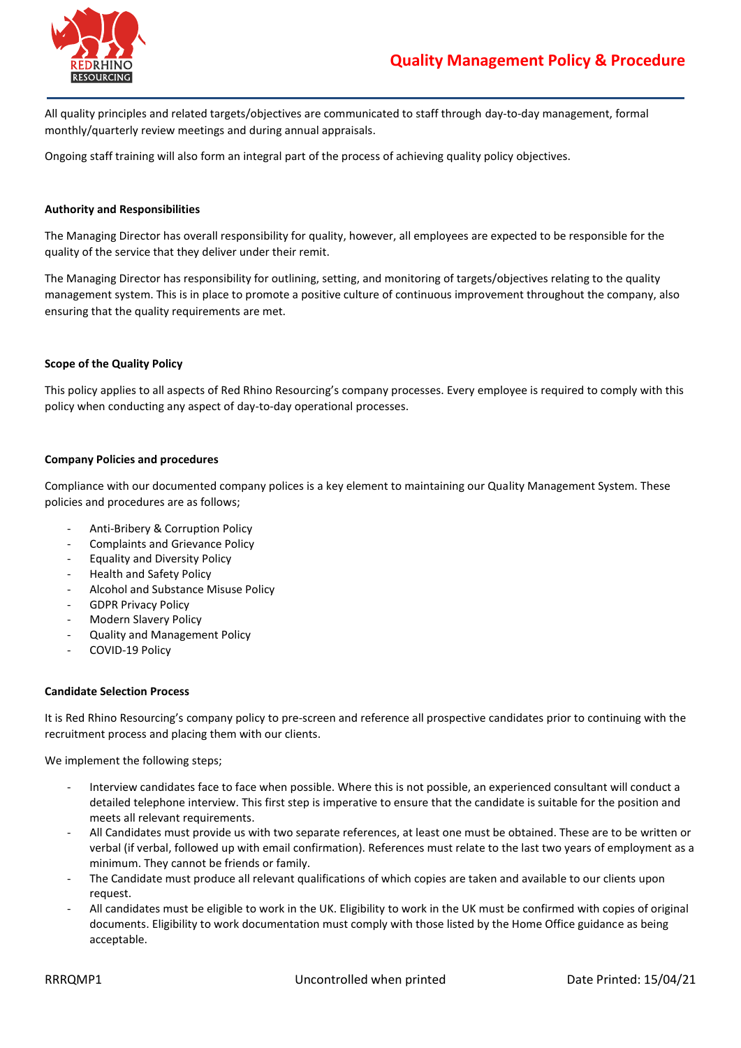

All quality principles and related targets/objectives are communicated to staff through day-to-day management, formal monthly/quarterly review meetings and during annual appraisals.

Ongoing staff training will also form an integral part of the process of achieving quality policy objectives.

## **Authority and Responsibilities**

The Managing Director has overall responsibility for quality, however, all employees are expected to be responsible for the quality of the service that they deliver under their remit.

The Managing Director has responsibility for outlining, setting, and monitoring of targets/objectives relating to the quality management system. This is in place to promote a positive culture of continuous improvement throughout the company, also ensuring that the quality requirements are met.

## **Scope of the Quality Policy**

This policy applies to all aspects of Red Rhino Resourcing's company processes. Every employee is required to comply with this policy when conducting any aspect of day-to-day operational processes.

## **Company Policies and procedures**

Compliance with our documented company polices is a key element to maintaining our Quality Management System. These policies and procedures are as follows;

- Anti-Bribery & Corruption Policy
- Complaints and Grievance Policy
- Equality and Diversity Policy
- Health and Safety Policy
- Alcohol and Substance Misuse Policy
- GDPR Privacy Policy
- Modern Slavery Policy
- Quality and Management Policy
- COVID-19 Policy

## **Candidate Selection Process**

It is Red Rhino Resourcing's company policy to pre-screen and reference all prospective candidates prior to continuing with the recruitment process and placing them with our clients.

We implement the following steps;

- Interview candidates face to face when possible. Where this is not possible, an experienced consultant will conduct a detailed telephone interview. This first step is imperative to ensure that the candidate is suitable for the position and meets all relevant requirements.
- All Candidates must provide us with two separate references, at least one must be obtained. These are to be written or verbal (if verbal, followed up with email confirmation). References must relate to the last two years of employment as a minimum. They cannot be friends or family.
- The Candidate must produce all relevant qualifications of which copies are taken and available to our clients upon request.
- All candidates must be eligible to work in the UK. Eligibility to work in the UK must be confirmed with copies of original documents. Eligibility to work documentation must comply with those listed by the Home Office guidance as being acceptable.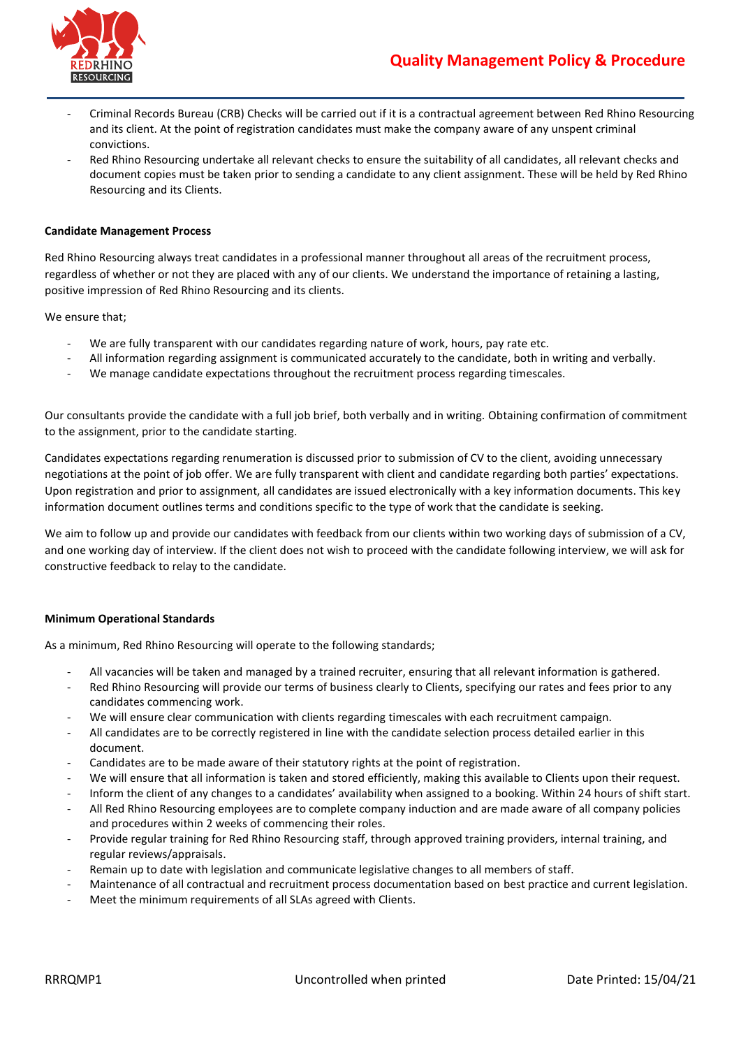

- Criminal Records Bureau (CRB) Checks will be carried out if it is a contractual agreement between Red Rhino Resourcing and its client. At the point of registration candidates must make the company aware of any unspent criminal convictions.
- Red Rhino Resourcing undertake all relevant checks to ensure the suitability of all candidates, all relevant checks and document copies must be taken prior to sending a candidate to any client assignment. These will be held by Red Rhino Resourcing and its Clients.

## **Candidate Management Process**

Red Rhino Resourcing always treat candidates in a professional manner throughout all areas of the recruitment process, regardless of whether or not they are placed with any of our clients. We understand the importance of retaining a lasting, positive impression of Red Rhino Resourcing and its clients.

We ensure that;

- We are fully transparent with our candidates regarding nature of work, hours, pay rate etc.
- All information regarding assignment is communicated accurately to the candidate, both in writing and verbally.
- We manage candidate expectations throughout the recruitment process regarding timescales.

Our consultants provide the candidate with a full job brief, both verbally and in writing. Obtaining confirmation of commitment to the assignment, prior to the candidate starting.

Candidates expectations regarding renumeration is discussed prior to submission of CV to the client, avoiding unnecessary negotiations at the point of job offer. We are fully transparent with client and candidate regarding both parties' expectations. Upon registration and prior to assignment, all candidates are issued electronically with a key information documents. This key information document outlines terms and conditions specific to the type of work that the candidate is seeking.

We aim to follow up and provide our candidates with feedback from our clients within two working days of submission of a CV, and one working day of interview. If the client does not wish to proceed with the candidate following interview, we will ask for constructive feedback to relay to the candidate.

## **Minimum Operational Standards**

As a minimum, Red Rhino Resourcing will operate to the following standards;

- All vacancies will be taken and managed by a trained recruiter, ensuring that all relevant information is gathered.
- Red Rhino Resourcing will provide our terms of business clearly to Clients, specifying our rates and fees prior to any candidates commencing work.
- We will ensure clear communication with clients regarding timescales with each recruitment campaign.
- All candidates are to be correctly registered in line with the candidate selection process detailed earlier in this document.
- Candidates are to be made aware of their statutory rights at the point of registration.
- We will ensure that all information is taken and stored efficiently, making this available to Clients upon their request.
- Inform the client of any changes to a candidates' availability when assigned to a booking. Within 24 hours of shift start.
- All Red Rhino Resourcing employees are to complete company induction and are made aware of all company policies and procedures within 2 weeks of commencing their roles.
- Provide regular training for Red Rhino Resourcing staff, through approved training providers, internal training, and regular reviews/appraisals.
- Remain up to date with legislation and communicate legislative changes to all members of staff.
- Maintenance of all contractual and recruitment process documentation based on best practice and current legislation.
- Meet the minimum requirements of all SLAs agreed with Clients.